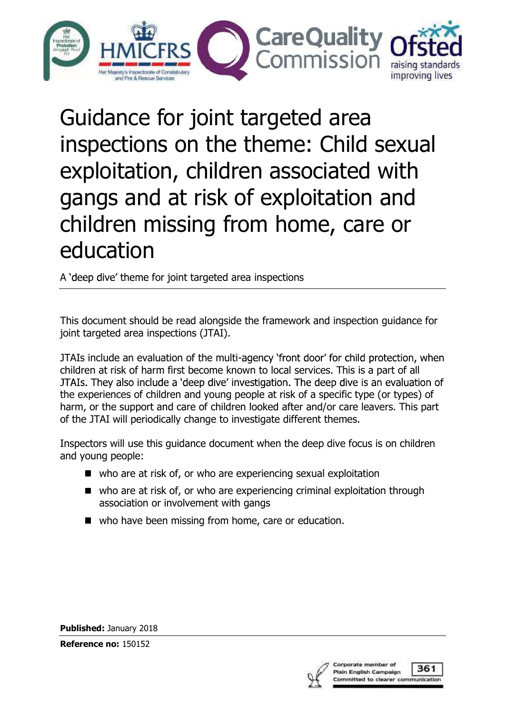

Guidance for joint targeted area inspections on the theme: Child sexual exploitation, children associated with gangs and at risk of exploitation and children missing from home, care or education Guidance for joint targeted area<br>inspections on the theme: Child sexual<br>exploitation, children associated with<br>gangs and at risk of exploitation and<br>children missing from home, care or<br>education<br>and the framework and inspe

A 'deep dive' theme for joint targeted area inspections

joint targeted area inspections (JTAI).

JTAIs include an evaluation of the multi-agency 'front door' for child protection, when children at risk of harm first become known to local services. This is a part of all JTAIs. They also include a 'deep dive' investigation. The deep dive is an evaluation of the experiences of children and young people at risk of a specific type (or types) of harm, or the support and care of children looked after and/or care leavers. This part of the JTAI will periodically change to investigate different themes.

Inspectors will use this guidance document when the deep dive focus is on children and young people:

- who are at risk of, or who are experiencing sexual exploitation
- who are at risk of, or who are experiencing criminal exploitation through association or involvement with gangs
- who have been missing from home, care or education.

Published: January 2018

Reference no: 150152



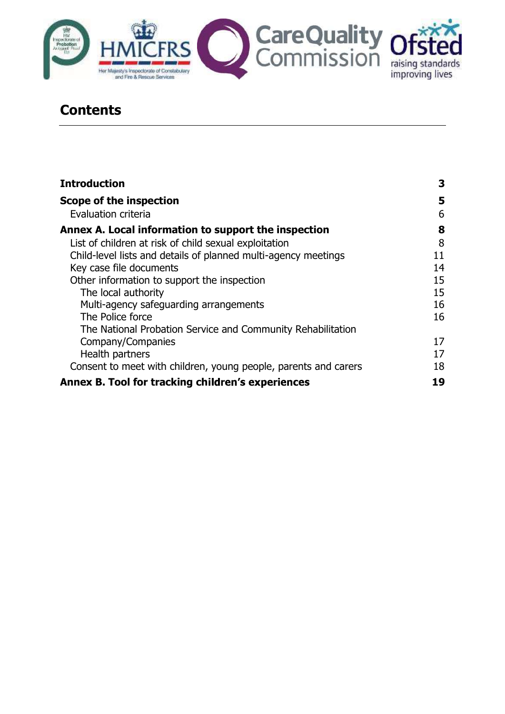

## **Contents**

| <b>Introduction</b>                                             | 3  |  |
|-----------------------------------------------------------------|----|--|
| Scope of the inspection                                         | 5  |  |
| Evaluation criteria                                             | 6  |  |
| Annex A. Local information to support the inspection            | 8  |  |
| List of children at risk of child sexual exploitation           | 8  |  |
| Child-level lists and details of planned multi-agency meetings  | 11 |  |
| Key case file documents                                         | 14 |  |
| Other information to support the inspection                     | 15 |  |
| The local authority                                             | 15 |  |
| Multi-agency safeguarding arrangements                          | 16 |  |
| The Police force                                                | 16 |  |
| The National Probation Service and Community Rehabilitation     |    |  |
| Company/Companies                                               | 17 |  |
| Health partners                                                 | 17 |  |
| Consent to meet with children, young people, parents and carers | 18 |  |
| Annex B. Tool for tracking children's experiences               | 19 |  |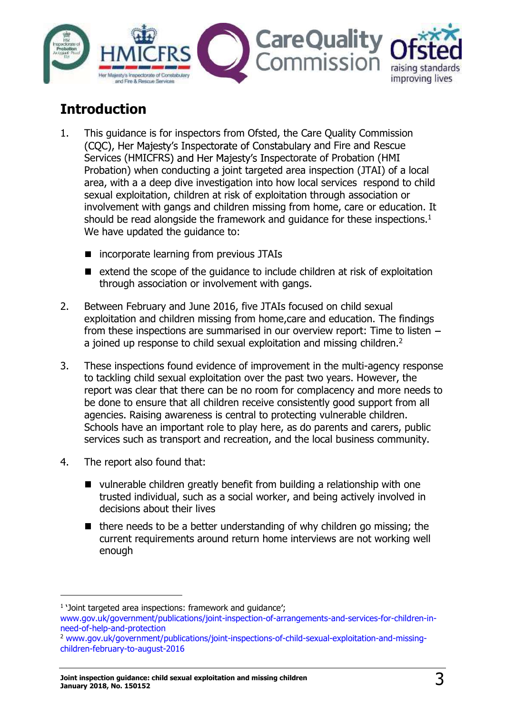

# Introduction

- 1. This guidance is for inspectors from Ofsted, the Care Quality Commission (COC), Her Majesty's Inspectorate of Constabulary and Fire and Rescue Services (HMICFRS) and Her Majesty's Inspectorate of Probation (HMI Probation) when conducting a joint targeted area inspection (JTAI) of a local area, with a a deep dive investigation into how local services respond to child sexual exploitation, children at risk of exploitation through association or involvement with gangs and children missing from home, care or education. It should be read alongside the framework and quidance for these inspections.<sup>1</sup> We have updated the guidance to:
	- incorporate learning from previous JTAIs
	- extend the scope of the guidance to include children at risk of exploitation through association or involvement with gangs.
- 2. Between February and June 2016, five JTAIs focused on child sexual exploitation and children missing from home,care and education. The findings from these inspections are summarised in our overview report: Time to listen a joined up response to child sexual exploitation and missing children.<sup>2</sup>
- 3. These inspections found evidence of improvement in the multi-agency response to tackling child sexual exploitation over the past two years. However, the report was clear that there can be no room for complacency and more needs to be done to ensure that all children receive consistently good support from all agencies. Raising awareness is central to protecting vulnerable children. Schools have an important role to play here, as do parents and carers, public services such as transport and recreation, and the local business community.
- 4. The report also found that:
	- vulnerable children greatly benefit from building a relationship with one trusted individual, such as a social worker, and being actively involved in decisions about their lives
	- $\blacksquare$  there needs to be a better understanding of why children go missing; the current requirements around return home interviews are not working well enough

 <sup>1</sup> Joint targeted area inspections: framework and guidance ; www.gov.uk/government/publications/joint-inspection-of-arrangements-and-services-for-children-inneed-of-help-and-protection<br><sup>2</sup> www.gov.uk/government/publications/joint-inspections-of-child-sexual-exploitation-and-missing-

children-february-to-august-2016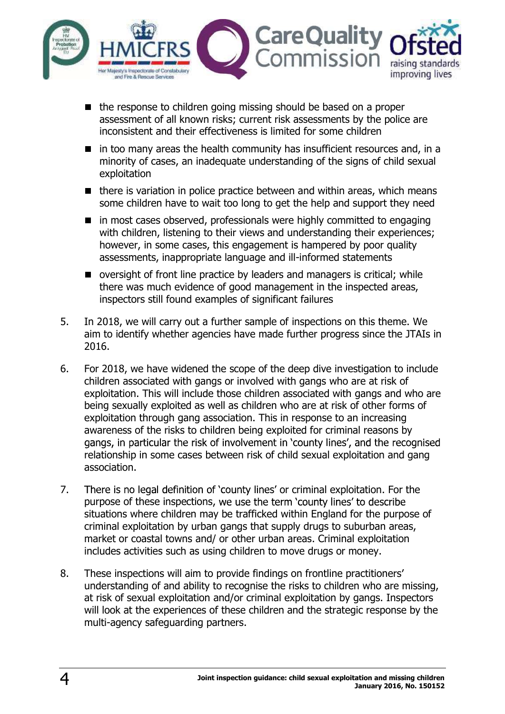

- $\blacksquare$  the response to children going missing should be based on a proper assessment of all known risks; current risk assessments by the police are inconsistent and their effectiveness is limited for some children
- $\blacksquare$  in too many areas the health community has insufficient resources and, in a minority of cases, an inadequate understanding of the signs of child sexual exploitation
- $\blacksquare$  there is variation in police practice between and within areas, which means some children have to wait too long to get the help and support they need
- $\blacksquare$  in most cases observed, professionals were highly committed to engaging with children, listening to their views and understanding their experiences; however, in some cases, this engagement is hampered by poor quality assessments, inappropriate language and ill-informed statements
- oversight of front line practice by leaders and managers is critical; while there was much evidence of good management in the inspected areas, inspectors still found examples of significant failures
- 5. In 2018, we will carry out a further sample of inspections on this theme. We aim to identify whether agencies have made further progress since the JTAIs in 2016.
- 6. For 2018, we have widened the scope of the deep dive investigation to include children associated with gangs or involved with gangs who are at risk of exploitation. This will include those children associated with gangs and who are being sexually exploited as well as children who are at risk of other forms of exploitation through gang association. This in response to an increasing awareness of the risks to children being exploited for criminal reasons by gangs, in particular the risk of involvement in 'county lines', and the recognised relationship in some cases between risk of child sexual exploitation and gang association.
- 7. There is no legal definition of 'county lines' or criminal exploitation. For the purpose of these inspections, we use the term 'county lines' to describe situations where children may be trafficked within England for the purpose of criminal exploitation by urban gangs that supply drugs to suburban areas, market or coastal towns and/ or other urban areas. Criminal exploitation includes activities such as using children to move drugs or money.
- 8. These inspections will aim to provide findings on frontline practitioners understanding of and ability to recognise the risks to children who are missing, at risk of sexual exploitation and/or criminal exploitation by gangs. Inspectors will look at the experiences of these children and the strategic response by the multi-agency safeguarding partners.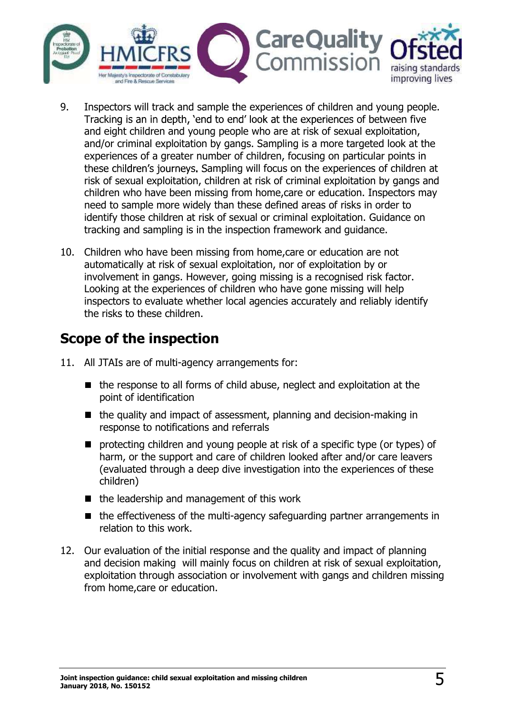

- 9. Inspectors will track and sample the experiences of children and young people. Tracking is an in depth, 'end to end' look at the experiences of between five and eight children and young people who are at risk of sexual exploitation, and/or criminal exploitation by gangs. Sampling is a more targeted look at the experiences of a greater number of children, focusing on particular points in these children's journeys. Sampling will focus on the experiences of children at risk of sexual exploitation, children at risk of criminal exploitation by gangs and children who have been missing from home,care or education. Inspectors may need to sample more widely than these defined areas of risks in order to identify those children at risk of sexual or criminal exploitation. Guidance on tracking and sampling is in the inspection framework and guidance.
- 10. Children who have been missing from home,care or education are not automatically at risk of sexual exploitation, nor of exploitation by or involvement in gangs. However, going missing is a recognised risk factor. Looking at the experiences of children who have gone missing will help inspectors to evaluate whether local agencies accurately and reliably identify the risks to these children.

## Scope of the inspection

- 11. All JTAIs are of multi-agency arrangements for:
	- $\blacksquare$  the response to all forms of child abuse, neglect and exploitation at the point of identification
	- $\blacksquare$  the quality and impact of assessment, planning and decision-making in response to notifications and referrals
	- **P** protecting children and young people at risk of a specific type (or types) of harm, or the support and care of children looked after and/or care leavers (evaluated through a deep dive investigation into the experiences of these children)
	- $\blacksquare$  the leadership and management of this work
	- the effectiveness of the multi-agency safeguarding partner arrangements in relation to this work.
- 12. Our evaluation of the initial response and the quality and impact of planning and decision making will mainly focus on children at risk of sexual exploitation, exploitation through association or involvement with gangs and children missing from home,care or education.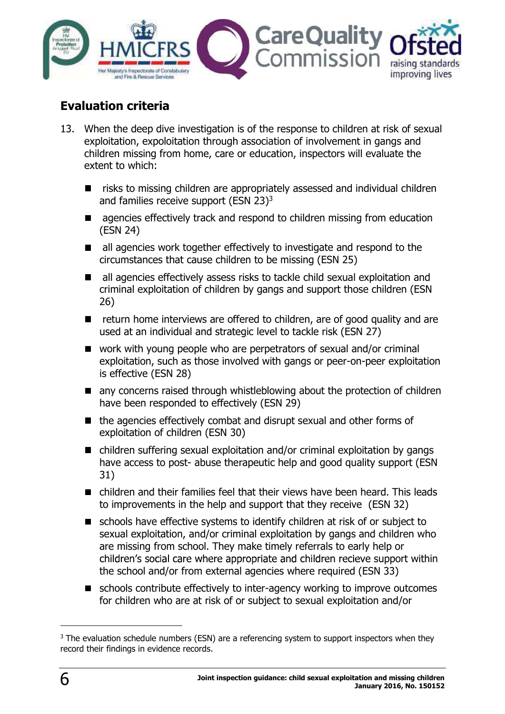

## Evaluation criteria

- 13. When the deep dive investigation is of the response to children at risk of sexual exploitation, expoloitation through association of involvement in gangs and children missing from home, care or education, inspectors will evaluate the extent to which:
	- risks to missing children are appropriately assessed and individual children and families receive support (ESN 23)3
	- agencies effectively track and respond to children missing from education (ESN 24)
	- all agencies work together effectively to investigate and respond to the circumstances that cause children to be missing (ESN 25)
	- all agencies effectively assess risks to tackle child sexual exploitation and criminal exploitation of children by gangs and support those children (ESN 26)
	- **E** return home interviews are offered to children, are of good quality and are used at an individual and strategic level to tackle risk (ESN 27)
	- work with young people who are perpetrators of sexual and/or criminal exploitation, such as those involved with gangs or peer-on-peer exploitation is effective (ESN 28)
	- any concerns raised through whistleblowing about the protection of children have been responded to effectively (ESN 29)
	- $\blacksquare$  the agencies effectively combat and disrupt sexual and other forms of exploitation of children (ESN 30)
	- children suffering sexual exploitation and/or criminal exploitation by gangs have access to post- abuse therapeutic help and good quality support (ESN 31)
	- children and their families feel that their views have been heard. This leads to improvements in the help and support that they receive (ESN 32)
	- schools have effective systems to identify children at risk of or subject to sexual exploitation, and/or criminal exploitation by gangs and children who are missing from school. They make timely referrals to early help or children's social care where appropriate and children recieve support within the school and/or from external agencies where required (ESN 33)
	- schools contribute effectively to inter-agency working to improve outcomes for children who are at risk of or subject to sexual exploitation and/or

 <sup>3</sup> The evaluation schedule numbers (ESN) are a referencing system to support inspectors when they record their findings in evidence records.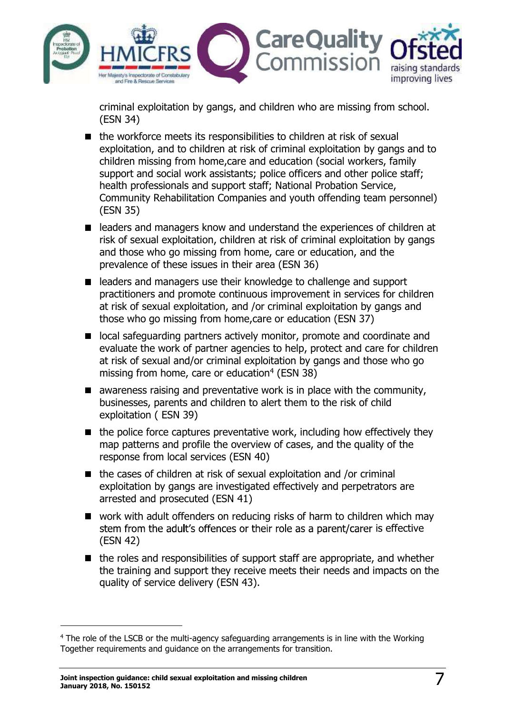

criminal exploitation by gangs, and children who are missing from school. (ESN 34)

- $\blacksquare$  the workforce meets its responsibilities to children at risk of sexual exploitation, and to children at risk of criminal exploitation by gangs and to children missing from home,care and education (social workers, family support and social work assistants; police officers and other police staff; health professionals and support staff; National Probation Service, Community Rehabilitation Companies and youth offending team personnel) (ESN 35)
- leaders and managers know and understand the experiences of children at risk of sexual exploitation, children at risk of criminal exploitation by gangs and those who go missing from home, care or education, and the prevalence of these issues in their area (ESN 36)
- leaders and managers use their knowledge to challenge and support practitioners and promote continuous improvement in services for children at risk of sexual exploitation, and /or criminal exploitation by gangs and those who go missing from home,care or education (ESN 37)
- local safeguarding partners actively monitor, promote and coordinate and evaluate the work of partner agencies to help, protect and care for children at risk of sexual and/or criminal exploitation by gangs and those who go missing from home, care or education<sup>4</sup> (ESN 38)
- $\blacksquare$  awareness raising and preventative work is in place with the community, businesses, parents and children to alert them to the risk of child exploitation ( ESN 39)
- $\blacksquare$  the police force captures preventative work, including how effectively they map patterns and profile the overview of cases, and the quality of the response from local services (ESN 40)
- $\blacksquare$  the cases of children at risk of sexual exploitation and /or criminal exploitation by gangs are investigated effectively and perpetrators are arrested and prosecuted (ESN 41)
- work with adult offenders on reducing risks of harm to children which may stem from the adult's offences or their role as a parent/carer is effective (ESN 42)
- $\blacksquare$  the roles and responsibilities of support staff are appropriate, and whether the training and support they receive meets their needs and impacts on the quality of service delivery (ESN 43).

 <sup>4</sup> The role of the LSCB or the multi-agency safeguarding arrangements is in line with the Working Together requirements and guidance on the arrangements for transition.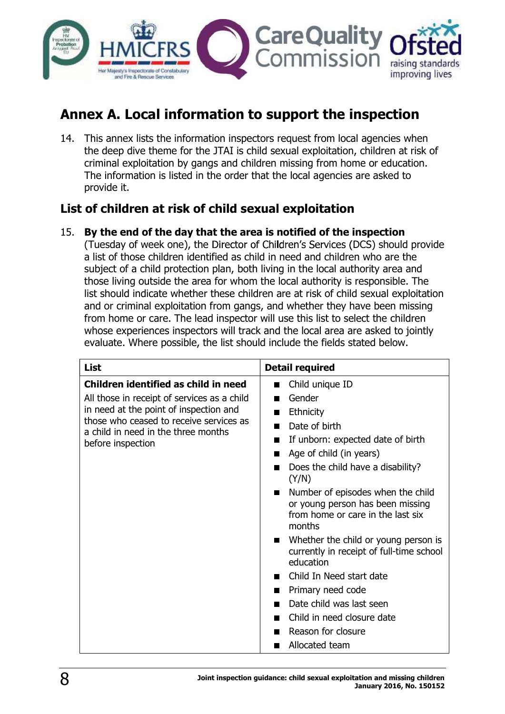

# Annex A. Local information to support the inspection

14. This annex lists the information inspectors request from local agencies when the deep dive theme for the JTAI is child sexual exploitation, children at risk of criminal exploitation by gangs and children missing from home or education. The information is listed in the order that the local agencies are asked to provide it.

### List of children at risk of child sexual exploitation

15. By the end of the day that the area is notified of the inspection

(Tuesday of week one), the Director of Children's Services (DCS) should provide a list of those children identified as child in need and children who are the subject of a child protection plan, both living in the local authority area and those living outside the area for whom the local authority is responsible. The list should indicate whether these children are at risk of child sexual exploitation and or criminal exploitation from gangs, and whether they have been missing from home or care. The lead inspector will use this list to select the children whose experiences inspectors will track and the local area are asked to jointly evaluate. Where possible, the list should include the fields stated below.

| <b>List</b>                                                                                                                                   | <b>Detail required</b>                                                                                               |
|-----------------------------------------------------------------------------------------------------------------------------------------------|----------------------------------------------------------------------------------------------------------------------|
| Children identified as child in need                                                                                                          | Child unique ID<br>П                                                                                                 |
| All those in receipt of services as a child                                                                                                   | Gender<br>H                                                                                                          |
| in need at the point of inspection and<br>those who ceased to receive services as<br>a child in need in the three months<br>before inspection | <b>Ethnicity</b><br>H                                                                                                |
|                                                                                                                                               | Date of birth<br>ш                                                                                                   |
|                                                                                                                                               | If unborn: expected date of birth<br>ш                                                                               |
|                                                                                                                                               | Age of child (in years)                                                                                              |
|                                                                                                                                               | Does the child have a disability?<br>(Y/N)                                                                           |
|                                                                                                                                               | Number of episodes when the child<br>or young person has been missing<br>from home or care in the last six<br>months |
|                                                                                                                                               | Whether the child or young person is<br>currently in receipt of full-time school<br>education                        |
|                                                                                                                                               | Child In Need start date<br>П                                                                                        |
|                                                                                                                                               | Primary need code                                                                                                    |
|                                                                                                                                               | Date child was last seen                                                                                             |
|                                                                                                                                               | Child in need closure date                                                                                           |
|                                                                                                                                               | Reason for closure                                                                                                   |
|                                                                                                                                               | Allocated team                                                                                                       |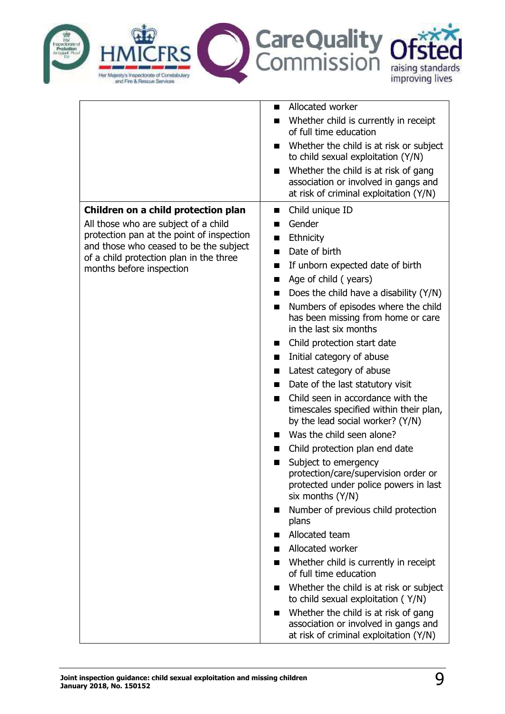

|                                                                     | Allocated worker<br>H.                                                                                                    |
|---------------------------------------------------------------------|---------------------------------------------------------------------------------------------------------------------------|
|                                                                     | Whether child is currently in receipt<br>H<br>of full time education                                                      |
|                                                                     | Whether the child is at risk or subject<br>H<br>to child sexual exploitation (Y/N)                                        |
|                                                                     | Whether the child is at risk of gang<br>association or involved in gangs and<br>at risk of criminal exploitation (Y/N)    |
| Children on a child protection plan                                 | Child unique ID<br>ш                                                                                                      |
| All those who are subject of a child                                | Gender                                                                                                                    |
| protection pan at the point of inspection                           | Ethnicity                                                                                                                 |
| and those who ceased to be the subject                              | Date of birth<br>ш                                                                                                        |
| of a child protection plan in the three<br>months before inspection | If unborn expected date of birth                                                                                          |
|                                                                     | Age of child (years)                                                                                                      |
|                                                                     | Does the child have a disability (Y/N)                                                                                    |
|                                                                     | Numbers of episodes where the child<br>ш<br>has been missing from home or care<br>in the last six months                  |
|                                                                     | Child protection start date                                                                                               |
|                                                                     | Initial category of abuse                                                                                                 |
|                                                                     | Latest category of abuse                                                                                                  |
|                                                                     | Date of the last statutory visit                                                                                          |
|                                                                     | Child seen in accordance with the<br>H<br>timescales specified within their plan,<br>by the lead social worker? (Y/N)     |
|                                                                     | Was the child seen alone?                                                                                                 |
|                                                                     | Child protection plan end date                                                                                            |
|                                                                     | Subject to emergency<br>protection/care/supervision order or<br>protected under police powers in last<br>six months (Y/N) |
|                                                                     | Number of previous child protection<br>H.<br>plans                                                                        |
|                                                                     | Allocated team                                                                                                            |
|                                                                     | Allocated worker                                                                                                          |
|                                                                     | Whether child is currently in receipt<br>of full time education                                                           |
|                                                                     | Whether the child is at risk or subject<br>to child sexual exploitation (Y/N)                                             |
|                                                                     | Whether the child is at risk of gang<br>association or involved in gangs and<br>at risk of criminal exploitation (Y/N)    |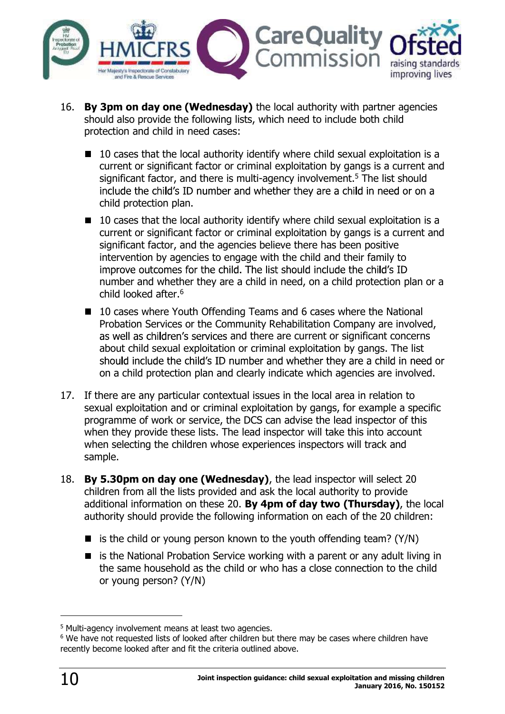

- 16. By 3pm on day one (Wednesday) the local authority with partner agencies should also provide the following lists, which need to include both child protection and child in need cases:
	- $\blacksquare$  10 cases that the local authority identify where child sexual exploitation is a current or significant factor or criminal exploitation by gangs is a current and significant factor, and there is multi-agency involvement.<sup>5</sup> The list should include the child's ID number and whether they are a child in need or on a child protection plan.
	- $\blacksquare$  10 cases that the local authority identify where child sexual exploitation is a current or significant factor or criminal exploitation by gangs is a current and significant factor, and the agencies believe there has been positive intervention by agencies to engage with the child and their family to improve outcomes for the child. The list should include the child's ID number and whether they are a child in need, on a child protection plan or a child looked after.<sup>6</sup>
	- 10 cases where Youth Offending Teams and 6 cases where the National Probation Services or the Community Rehabilitation Company are involved, as well as children's services and there are current or significant concerns about child sexual exploitation or criminal exploitation by gangs. The list should include the child's ID number and whether they are a child in need or on a child protection plan and clearly indicate which agencies are involved.
- 17. If there are any particular contextual issues in the local area in relation to sexual exploitation and or criminal exploitation by gangs, for example a specific programme of work or service, the DCS can advise the lead inspector of this when they provide these lists. The lead inspector will take this into account when selecting the children whose experiences inspectors will track and sample.
- 18. By 5.30pm on day one (Wednesday), the lead inspector will select 20 children from all the lists provided and ask the local authority to provide additional information on these 20. By 4pm of day two (Thursday), the local authority should provide the following information on each of the 20 children:
	- is the child or young person known to the youth offending team?  $(Y/N)$
	- $\blacksquare$  is the National Probation Service working with a parent or any adult living in the same household as the child or who has a close connection to the child or young person? (Y/N)

 <sup>5</sup> Multi-agency involvement means at least two agencies.

<sup>&</sup>lt;sup>6</sup> We have not requested lists of looked after children but there may be cases where children have recently become looked after and fit the criteria outlined above.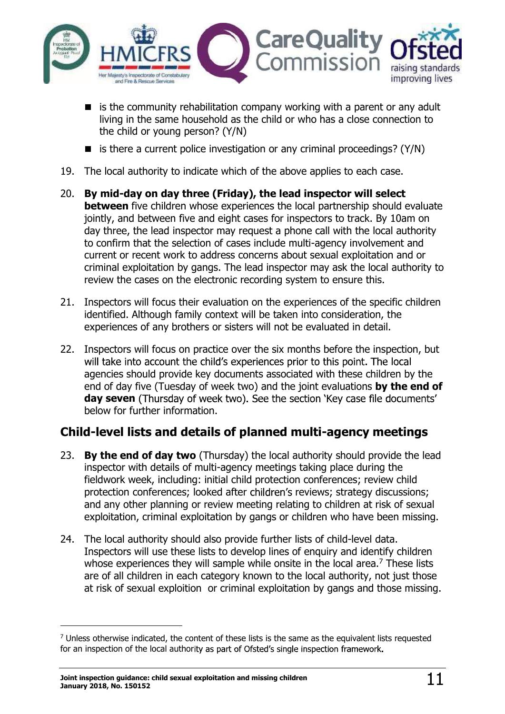

- $\blacksquare$  is the community rehabilitation company working with a parent or any adult living in the same household as the child or who has a close connection to the child or young person? (Y/N)
- is there a current police investigation or any criminal proceedings? ( $Y/N$ )
- 19. The local authority to indicate which of the above applies to each case.
- 20. By mid-day on day three (Friday), the lead inspector will select **between** five children whose experiences the local partnership should evaluate jointly, and between five and eight cases for inspectors to track. By 10am on day three, the lead inspector may request a phone call with the local authority to confirm that the selection of cases include multi-agency involvement and current or recent work to address concerns about sexual exploitation and or criminal exploitation by gangs. The lead inspector may ask the local authority to review the cases on the electronic recording system to ensure this.
- 21. Inspectors will focus their evaluation on the experiences of the specific children identified. Although family context will be taken into consideration, the experiences of any brothers or sisters will not be evaluated in detail.
- 22. Inspectors will focus on practice over the six months before the inspection, but will take into account the child's experiences prior to this point. The local agencies should provide key documents associated with these children by the end of day five (Tuesday of week two) and the joint evaluations **by the end of** day seven (Thursday of week two). See the section 'Key case file documents' below for further information.

## Child-level lists and details of planned multi-agency meetings

- 23. By the end of day two (Thursday) the local authority should provide the lead inspector with details of multi-agency meetings taking place during the fieldwork week, including: initial child protection conferences; review child protection conferences; looked after children's reviews; strategy discussions; and any other planning or review meeting relating to children at risk of sexual exploitation, criminal exploitation by gangs or children who have been missing.
- 24. The local authority should also provide further lists of child-level data. Inspectors will use these lists to develop lines of enquiry and identify children whose experiences they will sample while onsite in the local area.<sup>7</sup> These lists are of all children in each category known to the local authority, not just those at risk of sexual exploition or criminal exploitation by gangs and those missing.

 <sup>7</sup> Unless otherwise indicated, the content of these lists is the same as the equivalent lists requested for an inspection of the local authority as part of Ofsted's single inspection framework.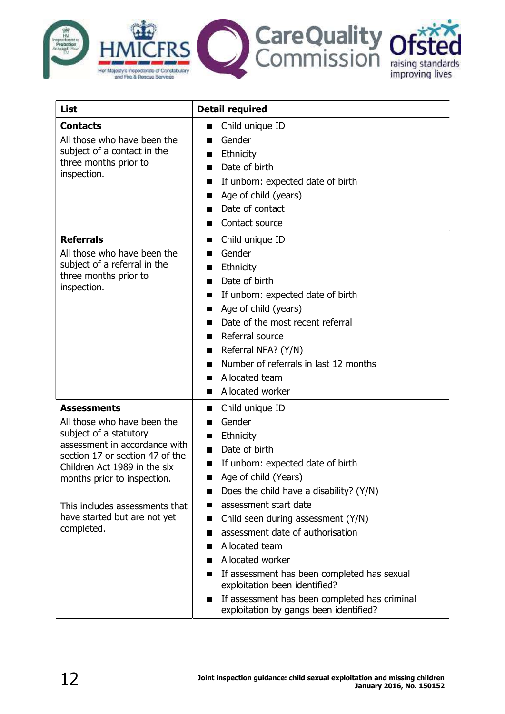

| List                                                                                                                                                                                                                                                                                           | <b>Detail required</b>                                                                                                                                                                                                                                                                                                                                                                                                                                                                                  |
|------------------------------------------------------------------------------------------------------------------------------------------------------------------------------------------------------------------------------------------------------------------------------------------------|---------------------------------------------------------------------------------------------------------------------------------------------------------------------------------------------------------------------------------------------------------------------------------------------------------------------------------------------------------------------------------------------------------------------------------------------------------------------------------------------------------|
| <b>Contacts</b><br>All those who have been the<br>subject of a contact in the<br>three months prior to<br>inspection.                                                                                                                                                                          | Child unique ID<br>П<br>Gender<br>H<br>Ethnicity<br>H<br>Date of birth<br>If unborn: expected date of birth<br>Age of child (years)<br>Date of contact<br>Contact source                                                                                                                                                                                                                                                                                                                                |
| <b>Referrals</b><br>All those who have been the<br>subject of a referral in the<br>three months prior to<br>inspection.                                                                                                                                                                        | Child unique ID<br>H<br>Gender<br>H<br>Ethnicity<br>H<br>Date of birth<br>If unborn: expected date of birth<br>ш<br>Age of child (years)<br>H<br>Date of the most recent referral<br>Referral source<br>Referral NFA? (Y/N)<br>Number of referrals in last 12 months<br>Allocated team<br>Allocated worker                                                                                                                                                                                              |
| <b>Assessments</b><br>All those who have been the<br>subject of a statutory<br>assessment in accordance with<br>section 17 or section 47 of the<br>Children Act 1989 in the six<br>months prior to inspection.<br>This includes assessments that<br>have started but are not yet<br>completed. | Child unique ID<br>ш<br>Gender<br>Ethnicity<br>H<br>Date of birth<br>П<br>If unborn: expected date of birth<br>Age of child (Years)<br>Does the child have a disability? (Y/N)<br>assessment start date<br>Child seen during assessment (Y/N)<br>ш<br>assessment date of authorisation<br>Allocated team<br>Allocated worker<br>If assessment has been completed has sexual<br>exploitation been identified?<br>If assessment has been completed has criminal<br>exploitation by gangs been identified? |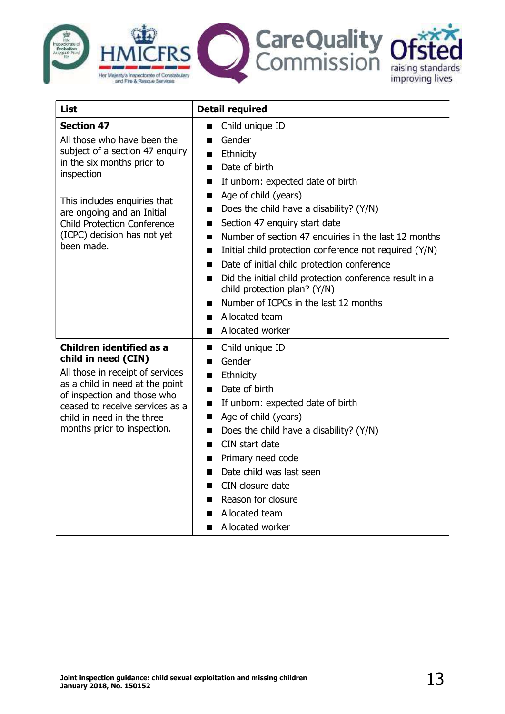

| List                                                                | <b>Detail required</b>                                                   |
|---------------------------------------------------------------------|--------------------------------------------------------------------------|
| <b>Section 47</b>                                                   | Child unique ID<br>П                                                     |
| All those who have been the                                         | Gender<br>П                                                              |
| subject of a section 47 enquiry                                     | Ethnicity<br>П                                                           |
| in the six months prior to                                          | Date of birth<br>П                                                       |
| inspection                                                          | If unborn: expected date of birth<br>П                                   |
| This includes enquiries that                                        | Age of child (years)<br>П                                                |
| are ongoing and an Initial                                          | Does the child have a disability? (Y/N)<br>ш                             |
| <b>Child Protection Conference</b>                                  | Section 47 enquiry start date<br>ш                                       |
| (ICPC) decision has not yet                                         | Number of section 47 enquiries in the last 12 months<br>Ш                |
| been made.                                                          | Initial child protection conference not required (Y/N)<br>$\blacksquare$ |
|                                                                     | Date of initial child protection conference<br>H                         |
|                                                                     | Did the initial child protection conference result in a<br>П             |
|                                                                     | child protection plan? (Y/N)                                             |
|                                                                     | Number of ICPCs in the last 12 months<br>ш                               |
|                                                                     | Allocated team<br>$\blacksquare$                                         |
|                                                                     | Allocated worker<br>П                                                    |
| <b>Children identified as a</b>                                     | Child unique ID<br>П                                                     |
| child in need (CIN)                                                 | Gender<br>П                                                              |
| All those in receipt of services<br>as a child in need at the point | Ethnicity<br>П                                                           |
| of inspection and those who                                         | Date of birth<br>П                                                       |
| ceased to receive services as a                                     | If unborn: expected date of birth<br>П                                   |
| child in need in the three                                          | Age of child (years)<br>Ш                                                |
| months prior to inspection.                                         | Does the child have a disability? (Y/N)<br>П                             |
|                                                                     | CIN start date<br>П                                                      |
|                                                                     | Primary need code<br>H                                                   |
|                                                                     | Date child was last seen<br>ш<br>CIN closure date                        |
|                                                                     | Ш<br>Reason for closure                                                  |
|                                                                     | П<br>Allocated team                                                      |
|                                                                     | Allocated worker                                                         |
|                                                                     | ш                                                                        |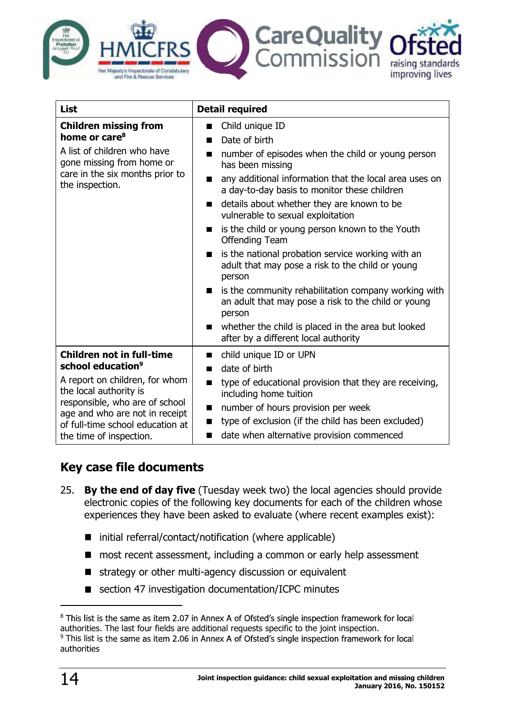

| <b>List</b>                                                                                   | <b>Detail required</b>                                                                                                           |
|-----------------------------------------------------------------------------------------------|----------------------------------------------------------------------------------------------------------------------------------|
| <b>Children missing from</b>                                                                  | Child unique ID<br>ш                                                                                                             |
| home or care <sup>8</sup>                                                                     | Date of birth<br>ш                                                                                                               |
| A list of children who have<br>gone missing from home or                                      | number of episodes when the child or young person<br>H.<br>has been missing                                                      |
| care in the six months prior to<br>the inspection.                                            | any additional information that the local area uses on<br>ш<br>a day-to-day basis to monitor these children                      |
|                                                                                               | details about whether they are known to be<br>vulnerable to sexual exploitation                                                  |
|                                                                                               | is the child or young person known to the Youth<br>ш<br><b>Offending Team</b>                                                    |
|                                                                                               | is the national probation service working with an<br>adult that may pose a risk to the child or young<br>person                  |
|                                                                                               | is the community rehabilitation company working with<br>ш<br>an adult that may pose a risk to the child or young<br>person       |
|                                                                                               | whether the child is placed in the area but looked<br>after by a different local authority                                       |
| <b>Children not in full-time</b>                                                              | child unique ID or UPN<br>H                                                                                                      |
| school education <sup>9</sup>                                                                 | date of birth<br>ш                                                                                                               |
| A report on children, for whom<br>the local authority is<br>responsible, who are of school    | type of educational provision that they are receiving,<br>H<br>including home tuition<br>number of hours provision per week<br>ш |
| age and who are not in receipt<br>of full-time school education at<br>the time of inspection. | type of exclusion (if the child has been excluded)<br>ш<br>date when alternative provision commenced<br>ш                        |

## Key case file documents

- 25. By the end of day five (Tuesday week two) the local agencies should provide electronic copies of the following key documents for each of the children whose experiences they have been asked to evaluate (where recent examples exist):
	- initial referral/contact/notification (where applicable)  $\blacksquare$
	- most recent assessment, including a common or early help assessment  $\blacksquare$
	- $\blacksquare$  strategy or other multi-agency discussion or equivalent
	- section 47 investigation documentation/ICPC minutes  $\blacksquare$

<sup>&</sup>lt;sup>8</sup> This list is the same as item 2.07 in Annex A of Ofsted's single inspection framework for local authorities. The last four fields are additional requests specific to the joint inspection.

<sup>&</sup>lt;sup>9</sup> This list is the same as item 2.06 in An authorities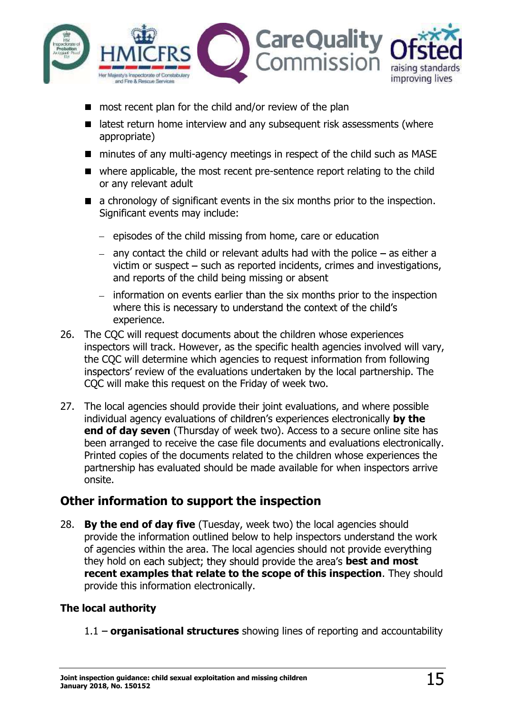

- most recent plan for the child and/or review of the plan
- $\blacksquare$  latest return home interview and any subsequent risk assessments (where appropriate)
- minutes of any multi-agency meetings in respect of the child such as MASE
- where applicable, the most recent pre-sentence report relating to the child or any relevant adult
- a chronology of significant events in the six months prior to the inspection. Significant events may include:
	- $-$  episodes of the child missing from home, care or education
	- any contact the child or relevant adults had with the police  $-$  as either a victim or suspect  $-$  such as reported incidents, crimes and investigations, and reports of the child being missing or absent
	- information on events earlier than the six months prior to the inspection where this is necessary to understand the context of the child's experience.
- 26. The CQC will request documents about the children whose experiences inspectors will track. However, as the specific health agencies involved will vary, the CQC will determine which agencies to request information from following inspectors' review of the evaluations undertaken by the local partnership. The CQC will make this request on the Friday of week two.
- 27. The local agencies should provide their joint evaluations, and where possible individual agency evaluations of children's experiences electronically by the end of day seven (Thursday of week two). Access to a secure online site has been arranged to receive the case file documents and evaluations electronically. Printed copies of the documents related to the children whose experiences the partnership has evaluated should be made available for when inspectors arrive onsite.

### Other information to support the inspection

28. By the end of day five (Tuesday, week two) the local agencies should provide the information outlined below to help inspectors understand the work of agencies within the area. The local agencies should not provide everything they hold on each subject; they should provide the area's **best and most** recent examples that relate to the scope of this inspection. They should provide this information electronically.

#### The local authority

 $1.1$  – organisational structures showing lines of reporting and accountability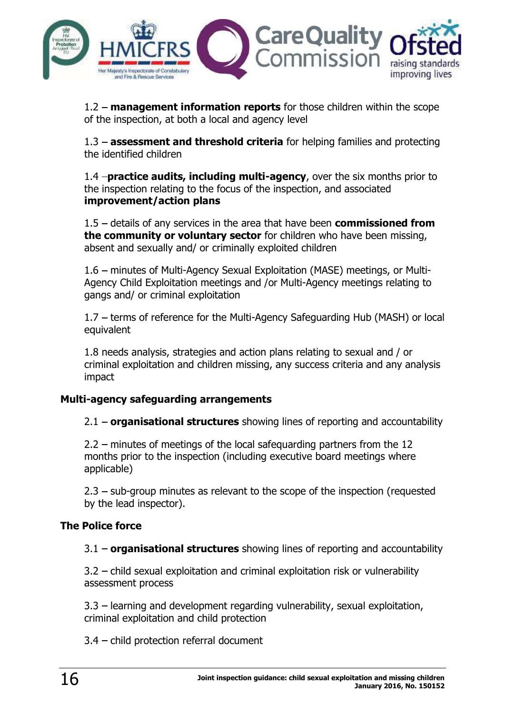

 $1.2$  – management information reports for those children within the scope of the inspection, at both a local and agency level

 $1.3$  – assessment and threshold criteria for helping families and protecting the identified children

1.4 **-practice audits, including multi-agency**, over the six months prior to the inspection relating to the focus of the inspection, and associated **improvement/action plans**<br>1.5 – details of any services in the area that have been **commissioned from** 

the community or voluntary sector for children who have been missing, absent and sexually and/ or criminally exploited children

1.6 – minutes of Multi-Agency Sexual Exploitation (MASE) meetings, or Multi-Agency Child Exploitation meetings and /or Multi-Agency meetings relating to gangs and/ or criminal exploitation

1.7 - terms of reference for the Multi-Agency Safeguarding Hub (MASH) or local equivalent

1.8 needs analysis, strategies and action plans relating to sexual and / or criminal exploitation and children missing, any success criteria and any analysis impact

#### Multi-agency safeguarding arrangements

 $2.1$  – organisational structures showing lines of reporting and accountability

2.2 minutes of meetings of the local safequarding partners from the 12 months prior to the inspection (including executive board meetings where applicable)

 $2.3$  – sub-group minutes as relevant to the scope of the inspection (requested by the lead inspector).

#### The Police force

 $3.1$  – organisational structures showing lines of reporting and accountability

3.2 - child sexual exploitation and criminal exploitation risk or vulnerability assessment process

 $3.3$  – learning and development regarding vulnerability, sexual exploitation, criminal exploitation and child protection

 $3.4$  – child protection referral document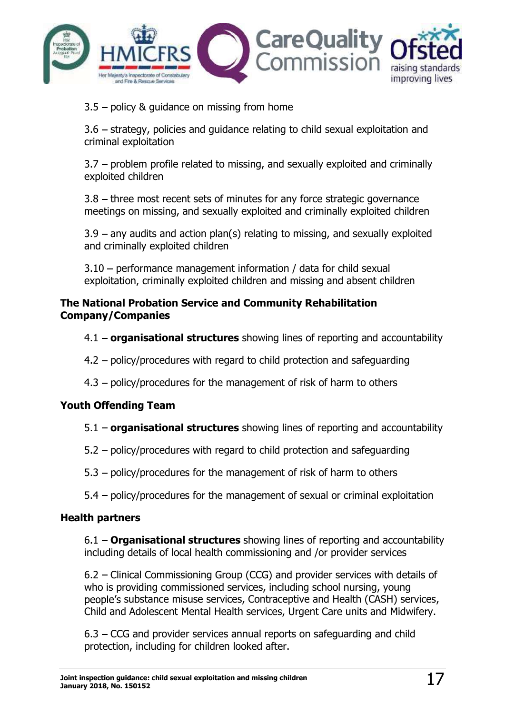

 $3.5$  – policy & guidance on missing from home

3.6 – strategy, policies and guidance relating to child sexual exploitation and criminal exploitation

 $3.7$  – problem profile related to missing, and sexually exploited and criminally exploited children

 $3.8$  – three most recent sets of minutes for any force strategic governance meetings on missing, and sexually exploited and criminally exploited children

 $3.9$  – any audits and action plan(s) relating to missing, and sexually exploited and criminally exploited children

 $3.10$  – performance management information / data for child sexual exploitation, criminally exploited children and missing and absent children

#### The National Probation Service and Community Rehabilitation Company/Companies

- $4.1$  organisational structures showing lines of reporting and accountability
- 4.2 policy/procedures with regard to child protection and safeguarding
- $4.3$  policy/procedures for the management of risk of harm to others

#### Youth Offending Team

- $5.1$  organisational structures showing lines of reporting and accountability
- $5.2$  policy/procedures with regard to child protection and safeguarding
- $5.3$  policy/procedures for the management of risk of harm to others
- $5.4$  policy/procedures for the management of sexual or criminal exploitation

#### Health partners

 $6.1 -$  Organisational structures showing lines of reporting and accountability including details of local health commissioning and /or provider services

6.2 – Clinical Commissioning Group (CCG) and provider services with details of who is providing commissioned services, including school nursing, young people's substance misuse services, Contraceptive and Health (CASH) services, Child and Adolescent Mental Health services, Urgent Care units and Midwifery.

 $6.3 - CCG$  and provider services annual reports on safeguarding and child protection, including for children looked after.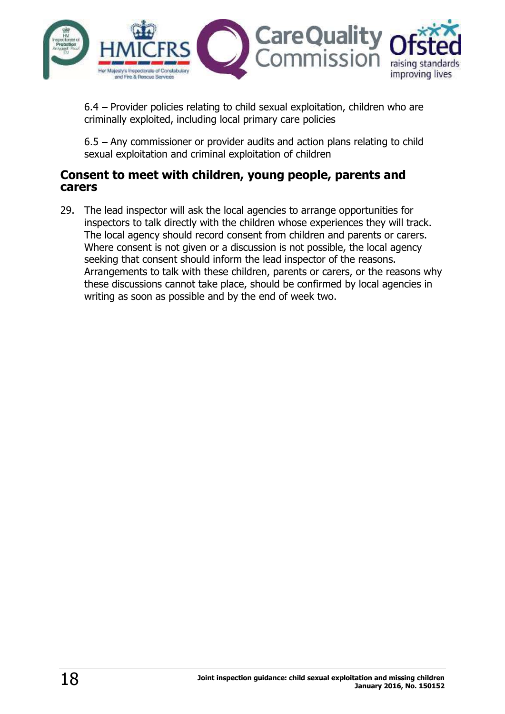

6.4 - Provider policies relating to child sexual exploitation, children who are criminally exploited, including local primary care policies

 $6.5$  – Any commissioner or provider audits and action plans relating to child sexual exploitation and criminal exploitation of children

#### Consent to meet with children, young people, parents and carers

29. The lead inspector will ask the local agencies to arrange opportunities for inspectors to talk directly with the children whose experiences they will track. The local agency should record consent from children and parents or carers. Where consent is not given or a discussion is not possible, the local agency seeking that consent should inform the lead inspector of the reasons. Arrangements to talk with these children, parents or carers, or the reasons why these discussions cannot take place, should be confirmed by local agencies in writing as soon as possible and by the end of week two.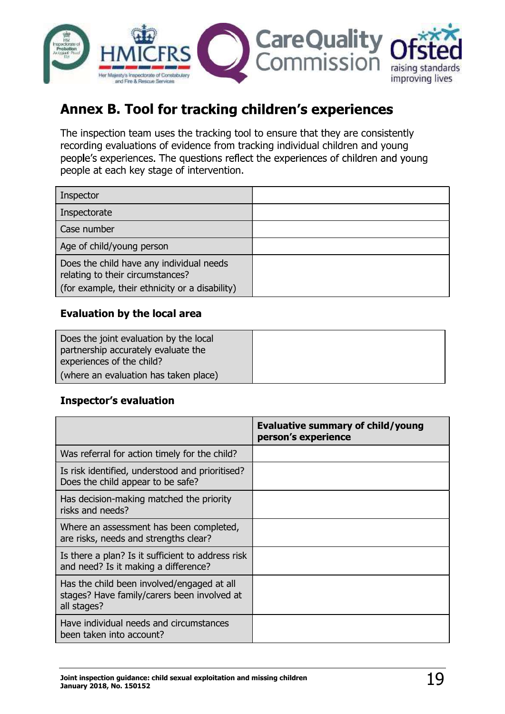

# Annex B. Tool for tracking children's experiences

The inspection team uses the tracking tool to ensure that they are consistently recording evaluations of evidence from tracking individual children and young people's experiences. The questions reflect the experiences of children and young people at each key stage of intervention.

#### Evaluation by the local area

| Does the joint evaluation by the local<br>partnership accurately evaluate the |  |
|-------------------------------------------------------------------------------|--|
| experiences of the child?                                                     |  |
| (where an evaluation has taken place)                                         |  |

#### **Inspector's evaluation**

|                                                                                                          | Evaluative summary of child/young<br>person's experience |
|----------------------------------------------------------------------------------------------------------|----------------------------------------------------------|
| Was referral for action timely for the child?                                                            |                                                          |
| Is risk identified, understood and prioritised?<br>Does the child appear to be safe?                     |                                                          |
| Has decision-making matched the priority<br>risks and needs?                                             |                                                          |
| Where an assessment has been completed,<br>are risks, needs and strengths clear?                         |                                                          |
| Is there a plan? Is it sufficient to address risk<br>and need? Is it making a difference?                |                                                          |
| Has the child been involved/engaged at all<br>stages? Have family/carers been involved at<br>all stages? |                                                          |
| Have individual needs and circumstances<br>been taken into account?                                      |                                                          |